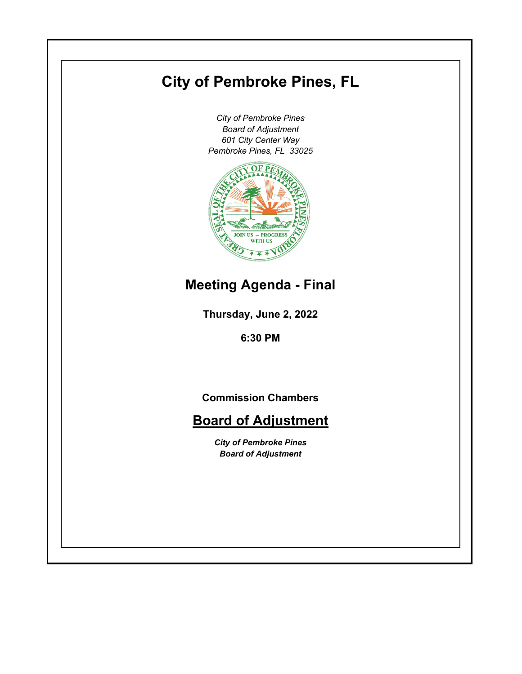# **City of Pembroke Pines, FL**

*City of Pembroke Pines Board of Adjustment 601 City Center Way Pembroke Pines, FL 33025*



# **Meeting Agenda - Final**

**Thursday, June 2, 2022**

**6:30 PM**

**Commission Chambers**

# **Board of Adjustment**

*City of Pembroke Pines Board of Adjustment*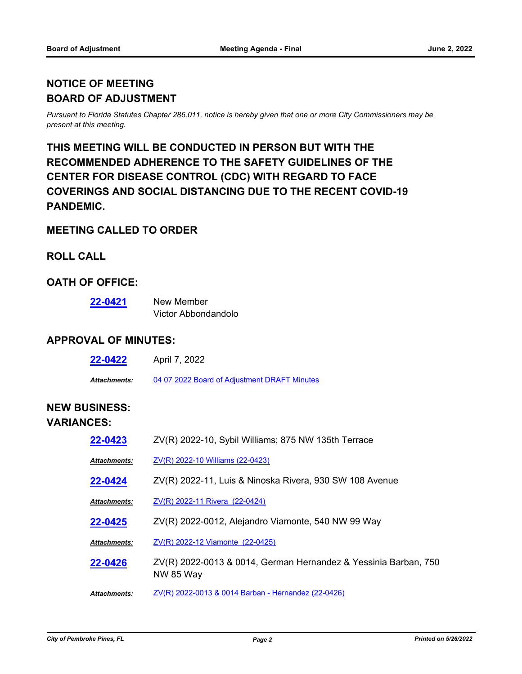# **NOTICE OF MEETING BOARD OF ADJUSTMENT**

*Pursuant to Florida Statutes Chapter 286.011, notice is hereby given that one or more City Commissioners may be present at this meeting.*

# **THIS MEETING WILL BE CONDUCTED IN PERSON BUT WITH THE RECOMMENDED ADHERENCE TO THE SAFETY GUIDELINES OF THE CENTER FOR DISEASE CONTROL (CDC) WITH REGARD TO FACE COVERINGS AND SOCIAL DISTANCING DUE TO THE RECENT COVID-19 PANDEMIC.**

#### **MEETING CALLED TO ORDER**

### **ROLL CALL**

#### **OATH OF OFFICE:**

| 22-0421 | New Member          |
|---------|---------------------|
|         | Victor Abbondandolo |

#### **APPROVAL OF MINUTES:**

| 22-0422             | April 7, 2022                                |
|---------------------|----------------------------------------------|
| <b>Attachments:</b> | 04 07 2022 Board of Adiustment DRAFT Minutes |

# **NEW BUSINESS: VARIANCES:**

| 22-0423             | ZV(R) 2022-10, Sybil Williams; 875 NW 135th Terrace                                 |
|---------------------|-------------------------------------------------------------------------------------|
| <b>Attachments:</b> | ZV(R) 2022-10 Williams (22-0423)                                                    |
| 22-0424             | ZV(R) 2022-11, Luis & Ninoska Rivera, 930 SW 108 Avenue                             |
| Attachments:        | ZV(R) 2022-11 Rivera (22-0424)                                                      |
| 22-0425             | ZV(R) 2022-0012, Alejandro Viamonte, 540 NW 99 Way                                  |
| Attachments:        | ZV(R) 2022-12 Viamonte (22-0425)                                                    |
| 22-0426             | ZV(R) 2022-0013 & 0014, German Hernandez & Yessinia Barban, 750<br><b>NW 85 Way</b> |
| Attachments:        | ZV(R) 2022-0013 & 0014 Barban - Hernandez (22-0426)                                 |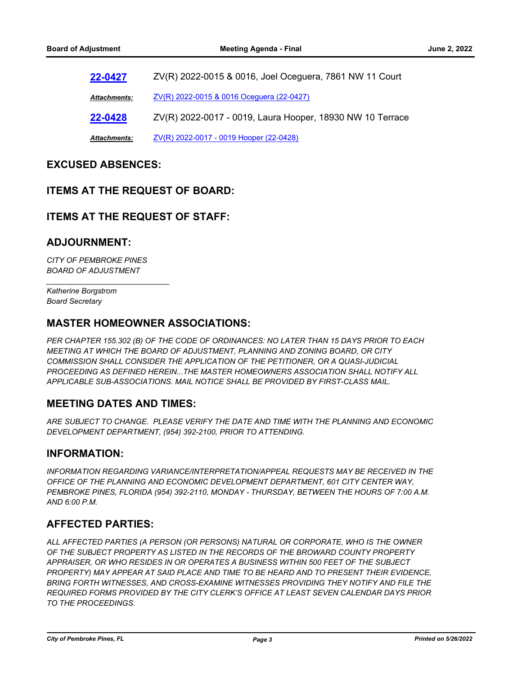**[22-0427](http://ppines.legistar.com/gateway.aspx?m=l&id=/matter.aspx?key=15361)** ZV(R) 2022-0015 & 0016, Joel Oceguera, 7861 NW 11 Court *Attachments:* [ZV\(R\) 2022-0015 & 0016 Oceguera \(22-0427\)](http://ppines.legistar.com/gateway.aspx?M=F&ID=19210a86-839b-4a4c-bb61-373bf7cdd6d2.pdf) **[22-0428](http://ppines.legistar.com/gateway.aspx?m=l&id=/matter.aspx?key=15362)** ZV(R) 2022-0017 - 0019, Laura Hooper, 18930 NW 10 Terrace *Attachments:* [ZV\(R\) 2022-0017 - 0019 Hooper \(22-0428\)](http://ppines.legistar.com/gateway.aspx?M=F&ID=71381d0b-59a5-464a-aee4-a2b475073112.pdf)

#### **EXCUSED ABSENCES:**

#### **ITEMS AT THE REQUEST OF BOARD:**

#### **ITEMS AT THE REQUEST OF STAFF:**

#### **ADJOURNMENT:**

*CITY OF PEMBROKE PINES BOARD OF ADJUSTMENT*

*\_\_\_\_\_\_\_\_\_\_\_\_\_\_\_\_\_\_\_\_\_\_\_\_\_\_\_\_\_*

*Katherine Borgstrom Board Secretary*

#### **MASTER HOMEOWNER ASSOCIATIONS:**

*PER CHAPTER 155.302 (B) OF THE CODE OF ORDINANCES: NO LATER THAN 15 DAYS PRIOR TO EACH MEETING AT WHICH THE BOARD OF ADJUSTMENT, PLANNING AND ZONING BOARD, OR CITY COMMISSION SHALL CONSIDER THE APPLICATION OF THE PETITIONER, OR A QUASI-JUDICIAL PROCEEDING AS DEFINED HEREIN...THE MASTER HOMEOWNERS ASSOCIATION SHALL NOTIFY ALL APPLICABLE SUB-ASSOCIATIONS. MAIL NOTICE SHALL BE PROVIDED BY FIRST-CLASS MAIL.*

#### **MEETING DATES AND TIMES:**

*ARE SUBJECT TO CHANGE. PLEASE VERIFY THE DATE AND TIME WITH THE PLANNING AND ECONOMIC DEVELOPMENT DEPARTMENT, (954) 392-2100, PRIOR TO ATTENDING.*

#### **INFORMATION:**

*INFORMATION REGARDING VARIANCE/INTERPRETATION/APPEAL REQUESTS MAY BE RECEIVED IN THE OFFICE OF THE PLANNING AND ECONOMIC DEVELOPMENT DEPARTMENT, 601 CITY CENTER WAY, PEMBROKE PINES, FLORIDA (954) 392-2110, MONDAY - THURSDAY, BETWEEN THE HOURS OF 7:00 A.M. AND 6:00 P.M.*

#### **AFFECTED PARTIES:**

*ALL AFFECTED PARTIES (A PERSON (OR PERSONS) NATURAL OR CORPORATE, WHO IS THE OWNER OF THE SUBJECT PROPERTY AS LISTED IN THE RECORDS OF THE BROWARD COUNTY PROPERTY APPRAISER, OR WHO RESIDES IN OR OPERATES A BUSINESS WITHIN 500 FEET OF THE SUBJECT PROPERTY) MAY APPEAR AT SAID PLACE AND TIME TO BE HEARD AND TO PRESENT THEIR EVIDENCE, BRING FORTH WITNESSES, AND CROSS-EXAMINE WITNESSES PROVIDING THEY NOTIFY AND FILE THE REQUIRED FORMS PROVIDED BY THE CITY CLERK'S OFFICE AT LEAST SEVEN CALENDAR DAYS PRIOR TO THE PROCEEDINGS.*